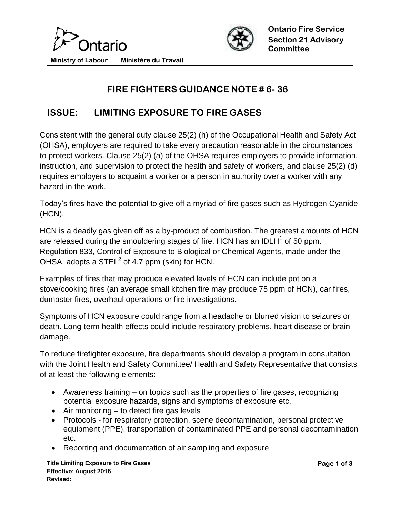



**Ministry of Labour Ministére du Travail**

## **FIRE FIGHTERS GUIDANCE NOTE # 6- 36**

## **ISSUE: LIMITING EXPOSURE TO FIRE GASES**

Consistent with the general duty clause 25(2) (h) of the Occupational Health and Safety Act (OHSA), employers are required to take every precaution reasonable in the circumstances to protect workers. Clause 25(2) (a) of the OHSA requires employers to provide information, instruction, and supervision to protect the health and safety of workers, and clause 25(2) (d) requires employers to acquaint a worker or a person in authority over a worker with any hazard in the work.

Today's fires have the potential to give off a myriad of fire gases such as Hydrogen Cyanide (HCN).

HCN is a deadly gas given off as a by-product of combustion. The greatest amounts of HCN are released during the smouldering stages of fire. HCN has an IDLH $^{\text{1}}$  of 50 ppm. Regulation 833, Control of Exposure to Biological or Chemical Agents, made under the OHSA, adopts a STEL $^2$  of 4.7 ppm (skin) for HCN.

Examples of fires that may produce elevated levels of HCN can include pot on a stove/cooking fires (an average small kitchen fire may produce 75 ppm of HCN), car fires, dumpster fires, overhaul operations or fire investigations.

Symptoms of HCN exposure could range from a headache or blurred vision to seizures or death. Long-term health effects could include respiratory problems, heart disease or brain damage.

To reduce firefighter exposure, fire departments should develop a program in consultation with the Joint Health and Safety Committee/ Health and Safety Representative that consists of at least the following elements:

- Awareness training on topics such as the properties of fire gases, recognizing potential exposure hazards, signs and symptoms of exposure etc.
- $\bullet$  Air monitoring to detect fire gas levels
- Protocols for respiratory protection, scene decontamination, personal protective equipment (PPE), transportation of contaminated PPE and personal decontamination etc.
- Reporting and documentation of air sampling and exposure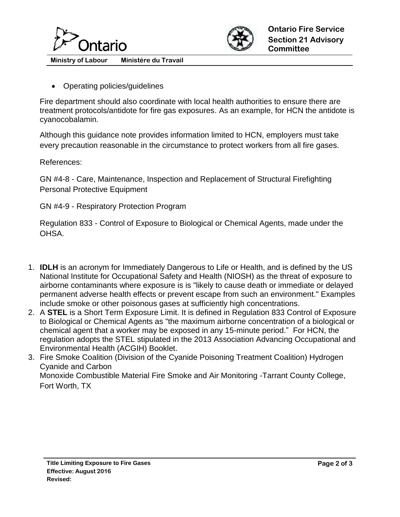



**Ministry of Labour Ministére du Travail**

Operating policies/guidelines

Fire department should also coordinate with local health authorities to ensure there are treatment protocols/antidote for fire gas exposures. As an example, for HCN the antidote is cyanocobalamin.

Although this guidance note provides information limited to HCN, employers must take every precaution reasonable in the circumstance to protect workers from all fire gases.

References:

GN #4-8 - Care, Maintenance, Inspection and Replacement of Structural Firefighting Personal Protective Equipment

GN #4-9 - Respiratory Protection Program

Regulation 833 - Control of Exposure to Biological or Chemical Agents, made under the OHSA.

- 1. **IDLH** is an acronym for Immediately Dangerous to Life or Health, and is defined by the US National Institute for Occupational Safety and Health (NIOSH) as the threat of exposure to airborne contaminants where exposure is is "likely to cause death or immediate or delayed permanent adverse health effects or prevent escape from such an environment." Examples include smoke or other poisonous gases at sufficiently high concentrations.
- 2. A **STEL** is a Short Term Exposure Limit. It is defined in Regulation 833 Control of Exposure to Biological or Chemical Agents as "the maximum airborne concentration of a biological or chemical agent that a worker may be exposed in any 15-minute period." For HCN, the regulation adopts the STEL stipulated in the 2013 Association Advancing Occupational and Environmental Health (ACGIH) Booklet.
- 3. Fire Smoke Coalition (Division of the Cyanide Poisoning Treatment Coalition) Hydrogen Cyanide and Carbon Monoxide Combustible Material Fire Smoke and Air Monitoring -Tarrant County College, Fort Worth, TX